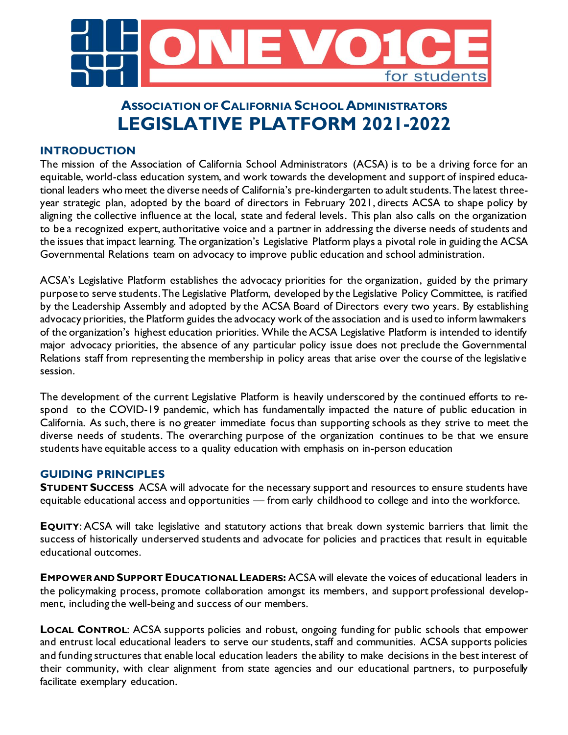

# **ASSOCIATION OF CALIFORNIA SCHOOL ADMINISTRATORS LEGISLATIVE PLATFORM 2021-2022**

## **INTRODUCTION**

The mission of the Association of California School Administrators (ACSA) is to be a driving force for an equitable, world-class education system, and work towards the development and support of inspired educational leaders who meet the diverse needs of California's pre-kindergarten to adult students. The latest threeyear strategic plan, adopted by the board of directors in February 2021, directs ACSA to shape policy by aligning the collective influence at the local, state and federal levels. This plan also calls on the organization to be a recognized expert, authoritative voice and a partner in addressing the diverse needs of students and the issues that impact learning. The organization's Legislative Platform plays a pivotal role in guiding the ACSA Governmental Relations team on advocacy to improve public education and school administration.

ACSA's Legislative Platform establishes the advocacy priorities for the organization, guided by the primary purpose to serve students. The Legislative Platform, developed by the Legislative Policy Committee, is ratified by the Leadership Assembly and adopted by the ACSA Board of Directors every two years. By establishing advocacy priorities, the Platform guides the advocacy work of the association and is used to inform lawmakers of the organization's highest education priorities. While the ACSA Legislative Platform is intended to identify major advocacy priorities, the absence of any particular policy issue does not preclude the Governmental Relations staff from representing the membership in policy areas that arise over the course of the legislative session.

The development of the current Legislative Platform is heavily underscored by the continued efforts to respond to the COVID-19 pandemic, which has fundamentally impacted the nature of public education in California. As such, there is no greater immediate focus than supporting schools as they strive to meet the diverse needs of students. The overarching purpose of the organization continues to be that we ensure students have equitable access to a quality education with emphasis on in-person education

# **GUIDING PRINCIPLES**

**STUDENT SUCCESS** ACSA will advocate for the necessary support and resources to ensure students have equitable educational access and opportunities — from early childhood to college and into the workforce.

**EQUITY**: ACSA will take legislative and statutory actions that break down systemic barriers that limit the success of historically underserved students and advocate for policies and practices that result in equitable educational outcomes.

**EMPOWER AND SUPPORT EDUCATIONAL LEADERS:** ACSA will elevate the voices of educational leaders in the policymaking process, promote collaboration amongst its members, and support professional development, including the well-being and success of our members.

**LOCAL CONTROL**: ACSA supports policies and robust, ongoing funding for public schools that empower and entrust local educational leaders to serve our students, staff and communities. ACSA supports policies and funding structures that enable local education leaders the ability to make decisions in the best interest of their community, with clear alignment from state agencies and our educational partners, to purposefully facilitate exemplary education.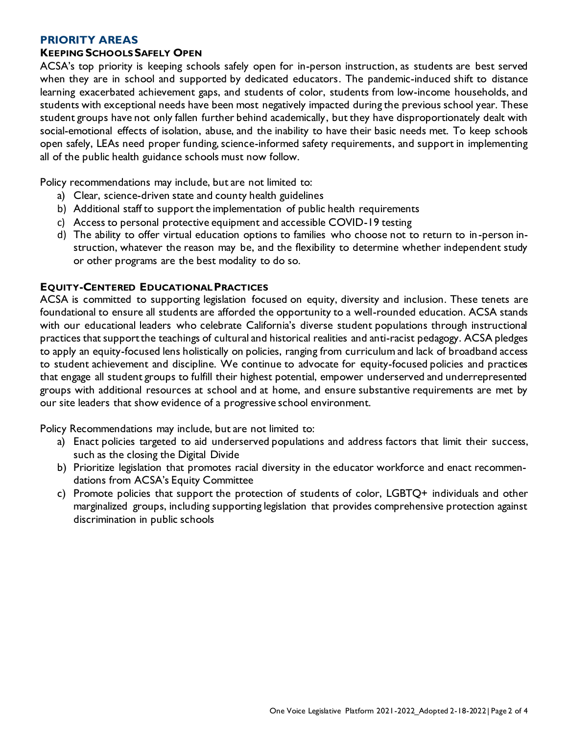#### **PRIORITY AREAS**

#### **KEEPING SCHOOLS SAFELY OPEN**

ACSA's top priority is keeping schools safely open for in-person instruction, as students are best served when they are in school and supported by dedicated educators. The pandemic-induced shift to distance learning exacerbated achievement gaps, and students of color, students from low-income households, and students with exceptional needs have been most negatively impacted during the previous school year. These student groups have not only fallen further behind academically, but they have disproportionately dealt with social-emotional effects of isolation, abuse, and the inability to have their basic needs met. To keep schools open safely, LEAs need proper funding, science-informed safety requirements, and support in implementing all of the public health guidance schools must now follow.

Policy recommendations may include, but are not limited to:

- a) Clear, science-driven state and county health guidelines
- b) Additional staff to support the implementation of public health requirements
- c) Access to personal protective equipment and accessible COVID-19 testing
- d) The ability to offer virtual education options to families who choose not to return to in-person instruction, whatever the reason may be, and the flexibility to determine whether independent study or other programs are the best modality to do so.

#### **EQUITY-CENTERED EDUCATIONAL PRACTICES**

ACSA is committed to supporting legislation focused on equity, diversity and inclusion. These tenets are foundational to ensure all students are afforded the opportunity to a well-rounded education. ACSA stands with our educational leaders who celebrate California's diverse student populations through instructional practices that support the teachings of cultural and historical realities and anti-racist pedagogy. ACSA pledges to apply an equity-focused lens holistically on policies, ranging from curriculum and lack of broadband access to student achievement and discipline. We continue to advocate for equity-focused policies and practices that engage all student groups to fulfill their highest potential, empower underserved and underrepresented groups with additional resources at school and at home, and ensure substantive requirements are met by our site leaders that show evidence of a progressive school environment.

Policy Recommendations may include, but are not limited to:

- a) Enact policies targeted to aid underserved populations and address factors that limit their success, such as the closing the Digital Divide
- b) Prioritize legislation that promotes racial diversity in the educator workforce and enact recommendations from ACSA's Equity Committee
- c) Promote policies that support the protection of students of color, LGBTQ+ individuals and other marginalized groups, including supporting legislation that provides comprehensive protection against discrimination in public schools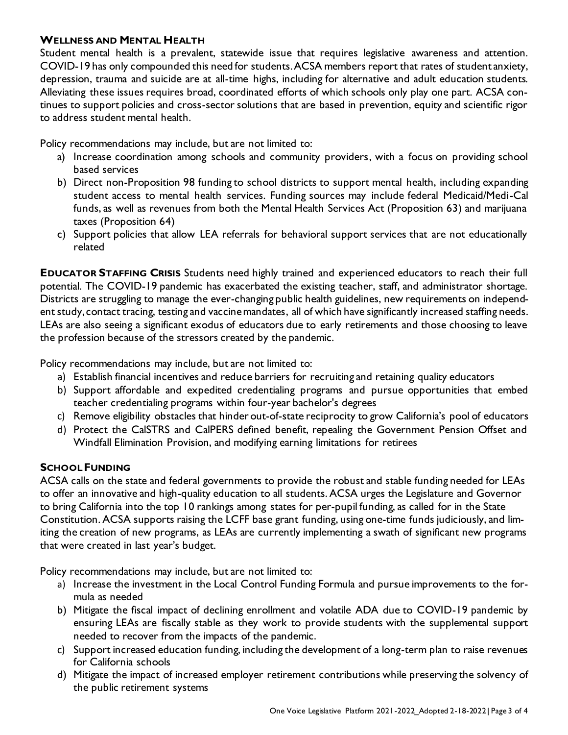#### **WELLNESS AND MENTAL HEALTH**

Student mental health is a prevalent, statewide issue that requires legislative awareness and attention. COVID-19 has only compounded this need for students. ACSA members report that rates of student anxiety, depression, trauma and suicide are at all-time highs, including for alternative and adult education students. Alleviating these issues requires broad, coordinated efforts of which schools only play one part. ACSA continues to support policies and cross-sector solutions that are based in prevention, equity and scientific rigor to address student mental health.

Policy recommendations may include, but are not limited to:

- a) Increase coordination among schools and community providers, with a focus on providing school based services
- b) Direct non-Proposition 98 funding to school districts to support mental health, including expanding student access to mental health services. Funding sources may include federal Medicaid/Medi-Cal funds, as well as revenues from both the Mental Health Services Act (Proposition 63) and marijuana taxes (Proposition 64)
- c) Support policies that allow LEA referrals for behavioral support services that are not educationally related

**EDUCATOR STAFFING CRISIS** Students need highly trained and experienced educators to reach their full potential. The COVID-19 pandemic has exacerbated the existing teacher, staff, and administrator shortage. Districts are struggling to manage the ever-changing public health guidelines, new requirements on independent study, contact tracing, testing and vaccine mandates, all of which have significantly increased staffing needs. LEAs are also seeing a significant exodus of educators due to early retirements and those choosing to leave the profession because of the stressors created by the pandemic.

Policy recommendations may include, but are not limited to:

- a) Establish financial incentives and reduce barriers for recruiting and retaining quality educators
- b) Support affordable and expedited credentialing programs and pursue opportunities that embed teacher credentialing programs within four-year bachelor's degrees
- c) Remove eligibility obstacles that hinder out-of-state reciprocity to grow California's pool of educators
- d) Protect the CalSTRS and CalPERS defined benefit, repealing the Government Pension Offset and Windfall Elimination Provision, and modifying earning limitations for retirees

### **SCHOOL FUNDING**

ACSA calls on the state and federal governments to provide the robust and stable funding needed for LEAs to offer an innovative and high-quality education to all students. ACSA urges the Legislature and Governor to bring California into the top 10 rankings among states for per-pupil funding, as called for in the State Constitution. ACSA supports raising the LCFF base grant funding, using one-time funds judiciously, and limiting the creation of new programs, as LEAs are currently implementing a swath of significant new programs that were created in last year's budget.

Policy recommendations may include, but are not limited to:

- a) Increase the investment in the Local Control Funding Formula and pursue improvements to the formula as needed
- b) Mitigate the fiscal impact of declining enrollment and volatile ADA due to COVID-19 pandemic by ensuring LEAs are fiscally stable as they work to provide students with the supplemental support needed to recover from the impacts of the pandemic.
- c) Support increased education funding, including the development of a long-term plan to raise revenues for California schools
- d) Mitigate the impact of increased employer retirement contributions while preserving the solvency of the public retirement systems